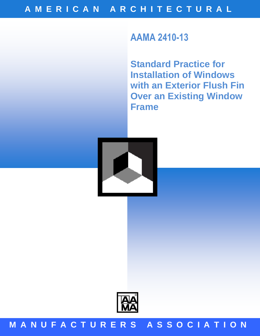# **AAMA 2410-13**

**Standard Practice for Installation of Windows with an Exterior Flush Fin Over an Existing Window Frame**





## **M A N U F A C T U R E R S A S S O C I A T I O N**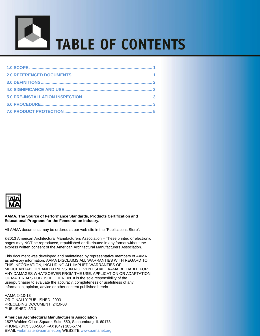



#### **AAMA. The Source of Performance Standards, Products Certification and Educational Programs for the Fenestration Industry.**

All AAMA documents may be ordered at our web site in the "Publications Store".

©2013 American Architectural Manufacturers Association – These printed or electronic pages may NOT be reproduced, republished or distributed in any format without the express written consent of the American Architectural Manufacturers Association.

This document was developed and maintained by representative members of AAMA as advisory information. AAMA DISCLAIMS ALL WARRANTIES WITH REGARD TO THIS INFORMATION, INCLUDING ALL IMPLIED WARRANTIES OF MERCHANTABILITY AND FITNESS. IN NO EVENT SHALL AAMA BE LIABLE FOR ANY DAMAGES WHATSOEVER FROM THE USE, APPLICATION OR ADAPTATION OF MATERIALS PUBLISHED HEREIN. It is the sole responsibility of the user/purchaser to evaluate the accuracy, completeness or usefulness of any information, opinion, advice or other content published herein.

AAMA 2410-13 ORIGINALLY PUBLISHED: 2003 PRECEDING DOCUMENT: 2410-03 PUBLISHED: 3/13

**American Architectural Manufacturers Association** 1827 Walden Office Square, Suite 550, Schaumburg, IL 60173 PHONE (847) 303-5664 FAX (847) 303-5774 EMAIL webmaster@aamanet.org WEBSITE www.aamanet.org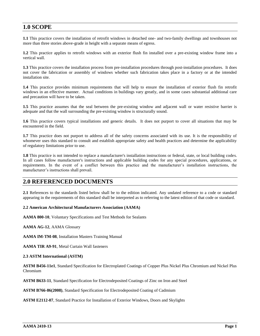### **1.0 SCOPE**

**1.1** This practice covers the installation of retrofit windows in detached one- and two-family dwellings and townhouses not more than three stories above-grade in height with a separate means of egress.

**1.2** This practice applies to retrofit windows with an exterior flush fin installed over a pre-existing window frame into a vertical wall.

**1.3** This practice covers the installation process from pre-installation procedures through post-installation procedures. It does not cover the fabrication or assembly of windows whether such fabrication takes place in a factory or at the intended installation site.

**1.4** This practice provides minimum requirements that will help to ensure the installation of exterior flush fin retrofit windows in an effective manner. Actual conditions in buildings vary greatly, and in some cases substantial additional care and precaution will have to be taken.

**1.5** This practice assumes that the seal between the pre-existing window and adjacent wall or water resistive barrier is adequate and that the wall surrounding the pre-existing window is structurally sound.

**1.6** This practice covers typical installations and generic details. It does not purport to cover all situations that may be encountered in the field.

**1.7** This practice does not purport to address all of the safety concerns associated with its use. It is the responsibility of whomever uses this standard to consult and establish appropriate safety and health practices and determine the applicability of regulatory limitations prior to use.

**1.8** This practice is not intended to replace a manufacturer's installation instructions or federal, state, or local building codes. In all cases follow manufacturer's instructions and applicable building codes for any special procedures, applications, or requirements. In the event of a conflict between this practice and the manufacturer's installation instructions, the manufacturer's instructions shall prevail.

### **2.0 REFERENCED DOCUMENTS**

**2.1** References to the standards listed below shall be to the edition indicated. Any undated reference to a code or standard appearing in the requirements of this standard shall be interpreted as to referring to the latest edition of that code or standard.

#### **2.2 American Architectural Manufacturers Association (AAMA)**

**AAMA 800-10**, Voluntary Specifications and Test Methods for Sealants

**AAMA AG-12**, AAMA Glossary

**AAMA IM-TM-08**, Installation Masters Training Manual

**AAMA TIR A9-91**, Metal Curtain Wall fasteners

#### **2.3 ASTM International (ASTM)**

**ASTM B456-11e1**, Standard Specification for Electroplated Coatings of Copper Plus Nickel Plus Chromium and Nickel Plus Chromium

**ASTM B633-11**, Standard Specification for Electrodeposited Coatings of Zinc on Iron and Steel

**ASTM B766-86(2008)**, Standard Specification for Electrodeposited Coating of Cadmium

**ASTM E2112-07**, Standard Practice for Installation of Exterior Windows, Doors and Skylights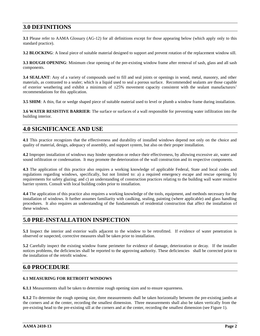### **3.0 DEFINITIONS**

**3.1** Please refer to AAMA Glossary (AG-12) for all definitions except for those appearing below (which apply only to this standard practice).

**3.2 BLOCKING**: A lineal piece of suitable material designed to support and prevent rotation of the replacement window sill.

**3.3 ROUGH OPENING**: Minimum clear opening of the pre-existing window frame after removal of sash, glass and all sash components.

**3.4 SEALANT**: Any of a variety of compounds used to fill and seal joints or openings in wood, metal, masonry, and other materials, as contrasted to a sealer; which is a liquid used to seal a porous surface. Recommended sealants are those capable of exterior weathering and exhibit a minimum of  $\pm 25\%$  movement capacity consistent with the sealant manufacturers' recommendations for this application.

**3.5 SHIM**: A thin, flat or wedge shaped piece of suitable material used to level or plumb a window frame during installation.

**3.6 WATER RESISTIVE BARRIER**: The surface or surfaces of a wall responsible for preventing water infiltration into the building interior.

### **4.0 SIGNIFICANCE AND USE**

**4.1** This practice recognizes that the effectiveness and durability of installed windows depend not only on the choice and quality of material, design, adequacy of assembly, and support system, but also on their proper installation.

**4.2** Improper installation of windows may hinder operation or reduce their effectiveness, by allowing excessive air, water and sound infiltration or condensation. It may promote the deterioration of the wall construction and its respective components.

**4.3** The application of this practice also requires a working knowledge of applicable Federal, State and local codes and regulations regarding windows, specifically, but not limited to: a) a required emergency escape and rescue opening; b) requirements for safety glazing; and c) an understanding of construction practices relating to the building wall water resistive barrier system. Consult with local building codes prior to installation.

**4.4** The application of this practice also requires a working knowledge of the tools, equipment, and methods necessary for the installation of windows. It further assumes familiarity with caulking, sealing, painting (where applicable) and glass handling procedures. It also requires an understanding of the fundamentals of residential construction that affect the installation of these windows.

### **5.0 PRE-INSTALLATION INSPECTION**

**5.1** Inspect the interior and exterior walls adjacent to the window to be retrofitted. If evidence of water penetration is observed or suspected, corrective measures shall be taken prior to installation.

**5.2** Carefully inspect the existing window frame perimeter for evidence of damage, deterioration or decay. If the installer notices problems, the deficiencies shall be reported to the approving authority. These deficiencies shall be corrected prior to the installation of the retrofit window.

### **6.0 PROCEDURE**

#### **6.1 MEASURING FOR RETROFIT WINDOWS**

**6.1.1** Measurements shall be taken to determine rough opening sizes and to ensure squareness.

**6.1.2** To determine the rough opening size, three measurements shall be taken horizontally between the pre-existing jambs at the corners and at the center, recording the smallest dimension. Three measurements shall also be taken vertically from the pre-existing head to the pre-existing sill at the corners and at the center, recording the smallest dimension (see Figure 1).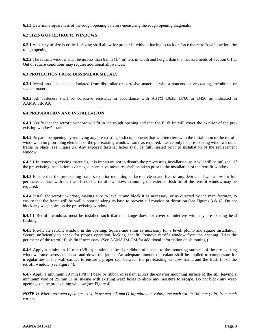**6.1.3** Determine squareness of the rough opening by cross-measuring the rough opening diagonals.

#### **6.2 SIZING OF RETROFIT WINDOWS**

**6.2.1** Accuracy of size is critical. Sizing shall allow for proper fit without having to rack or force the retrofit window into the rough opening.

**6.2.2** The retrofit window shall be no less than 6 mm (1/4 in) less in width and height than the measurements of Section 6.1.2. Out of square conditions may require additional allowances.

#### **6.3 PROTECTION FROM DISSIMILAR METALS**

**6.3.1** Metal products shall be isolated from dissimilar or corrosive materials with a nonconductive coating, membrane or sealant material.

**6.3.2** All fasteners shall be corrosive resistant, in accordance with ASTM B633, B766 or B456 as indicated in AAMA TIR A9.

#### **6.4 PREPARATION AND INSTALLATION**

**6.4.1** Verify that the retrofit window will fit in the rough opening and that the flush fin will cover the exterior of the preexisting window's frame.

**6.4.2** Prepare the opening by removing any pre-existing sash components that will interfere with the installation of the retrofit window. Trim protruding elements of the pre-existing window frame as required. Leave only the pre-existing window's outer frame in place (see Figure 2). Any exposed fastener holes shall be fully sealed prior to installation of the replacement window.

**6.4.2.1** In removing existing materials, it is important not to disturb the pre-existing installation, as it will still be utilized. If the pre-existing installation is damaged, corrective measures shall be taken prior to the installation of the retrofit window.

**6.4.3** Ensure that the pre-existing frame's exterior mounting surface is clean and free of any debris and will allow for full perimeter contact with the flush fin of the retrofit window. Trimming the exterior flush fin of the retrofit window may be required.

**6.4.4** Install the retrofit window, making sure to level it and block it as necessary, or as directed by the manufacturer, to ensure that the frame will be well supported along its base to prevent sill rotation or distortion (see Figures  $3 \& 6$ ). Do not block any weep holes on the pre-existing window.

**6.4.4.1** Retrofit windows must be installed such that the flange does not cover or interfere with any pre-existing head flashing.

**6.4.5** Pre-fit the retrofit window in the opening. Square and shim as necessary for a level, plumb and square installation. Secure sufficiently to check for proper operation, locking and fit. Remove retrofit window from the opening. Trim the perimeter of the retrofit flush fin if necessary. (See AAMA IM-TM for additional information on shimming.)

**6.4.6** Apply a minimum 10 mm (3/8 in) continuous bead or ribbon of sealant to the mounting surfaces of the pre-existing window frame across the head and down the jambs. An adequate amount of sealant shall be applied to compensate for irregularities in the wall surface to ensure a proper seal between the pre-existing window frame and the flush fin of the retrofit window (see Figure 4).

**6.4.7** Apply a minimum 10 mm (3/8 in) bead or ribbon of sealant across the exterior mounting surface of the sill, leaving a minimum void of 25 mm (1 in) in-line with existing weep holes to allow any moisture to escape. Do not block any weep openings on the pre-existing window (see Figure 4).

*NOTE 1: Where no weep openings exist, leave two 25 mm (1 in) minimum voids; one each within 100 mm (4 in) from each corner.*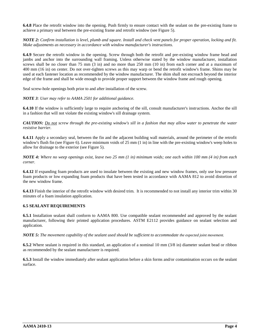**6.4.8** Place the retrofit window into the opening. Push firmly to ensure contact with the sealant on the pre-existing frame to achieve a primary seal between the pre-existing frame and retrofit window (see Figure 5).

*NOTE 2: Confirm installation is level, plumb and square. Install and check vent panels for proper operation, locking and fit. Make adjustments as necessary in accordance with window manufacturer's instructions.*

**6.4.9** Secure the retrofit window in the opening. Screw through both the retrofit and pre-existing window frame head and jambs and anchor into the surrounding wall framing. Unless otherwise stated by the window manufacturer, installation screws shall be no closer than 75 mm (3 in) and no more than 250 mm (10 in) from each corner and at a maximum of 400 mm (16 in) on center. Do not over-tighten screws as this may warp or bend the retrofit window's frame. Shims may be used at each fastener location as recommended by the window manufacturer. The shim shall not encroach beyond the interior edge of the frame and shall be wide enough to provide proper support between the window frame and rough opening.

Seal screw-hole openings both prior to and after installation of the screw.

*NOTE 3: User may refer to AAMA 2501 for additional guidance.* 

**6.4.10** If the window is sufficiently large to require anchoring of the sill, consult manufacturer's instructions. Anchor the sill in a fashion that will not violate the existing window's sill drainage system.

*CAUTION: Do not screw through the pre-existing window's sill in a fashion that may allow water to penetrate the water resistive barrier.*

**6.4.11** Apply a secondary seal, between the fin and the adjacent building wall materials, around the perimeter of the retrofit window's flush fin (see Figure 6). Leave minimum voids of 25 mm (1 in) in line with the pre-existing window's weep holes to allow for drainage to the exterior (see Figure 5).

*NOTE 4: Where no weep openings exist, leave two 25 mm (1 in) minimum voids; one each within 100 mm (4 in) from each corner.*

**6.4.12** If expanding foam products are used to insulate between the existing and new window frames, only use low pressure foam products or low expanding foam products that have been tested in accordance with AAMA 812 to avoid distortion of the new window frame.

**6.4.13** Finish the interior of the retrofit window with desired trim. It is recommended to not install any interior trim within 30 minutes of a foam insulation application.

#### **6.5 SEALANT REQUIREMENTS**

**6.5.1** Installation sealant shall conform to AAMA 800. Use compatible sealant recommended and approved by the sealant manufacturer, following their printed application procedures. ASTM E2112 provides guidance on sealant selection and application.

*NOTE 5: The movement capability of the sealant used should be sufficient to accommodate the expected joint movement.*

**6.5.2** Where sealant is required in this standard, an application of a nominal 10 mm (3/8 in) diameter sealant bead or ribbon as recommended by the sealant manufacturer is required.

**6.5.3** Install the window immediately after sealant application before a skin forms and/or contamination occurs on the sealant surface.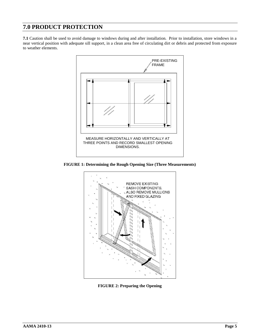### **7.0 PRODUCT PROTECTION**

**7.1** Caution shall be used to avoid damage to windows during and after installation. Prior to installation, store windows in a near vertical position with adequate sill support, in a clean area free of circulating dirt or debris and protected from exposure to weather elements.



**FIGURE 1: Determining the Rough Opening Size (Three Measurements)**



**FIGURE 2: Preparing the Opening**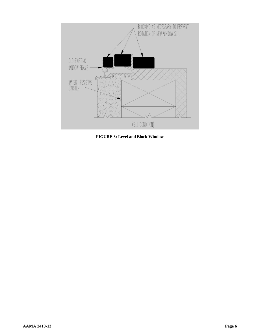

**FIGURE 3: Level and Block Window**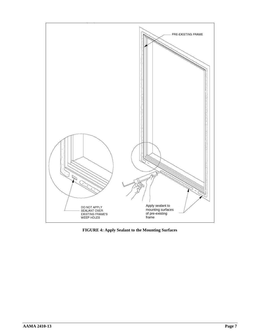

**FIGURE 4: Apply Sealant to the Mounting Surfaces**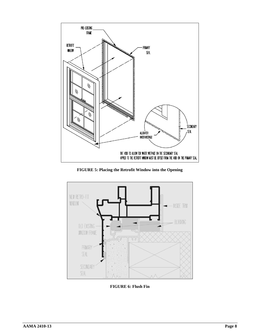

**FIGURE 5: Placing the Retrofit Window into the Opening**



**FIGURE 6: Flush Fin**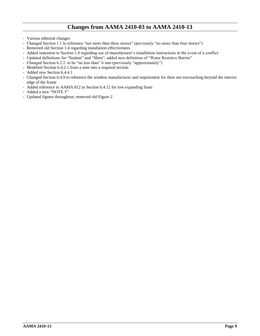### **Changes from AAMA 2410-03 to AAMA 2410-13**

- Various editorial changes
- Changed Section 1.1 to reference "not more than three stories" (previously "no more than four stories")
- Removed old Section 1.4 regarding installation effectiveness
- Added statement to Section 1.8 regarding use of manufacturer's installation instructions in the event of a conflict
- Updated definitions for "Sealant" and "Shim"; added new definition of "Water Resistive Barrier"
- Changed Section 6.2.2. to be "no less than" 6 mm (previously "approximately")
- Modified Section 6.4.2.1 from a note into a required section
- Added new Section 6.4.4.1
- Changed Section 6.4.9 to reference the window manufacturer and requirement for shim not encroaching beyond the interior edge of the frame
- Added reference to AAMA 812 in Section 6.4.12 for low expanding foam
- Added a new "NOTE 5"
- Updated figures throughout; removed old Figure 2